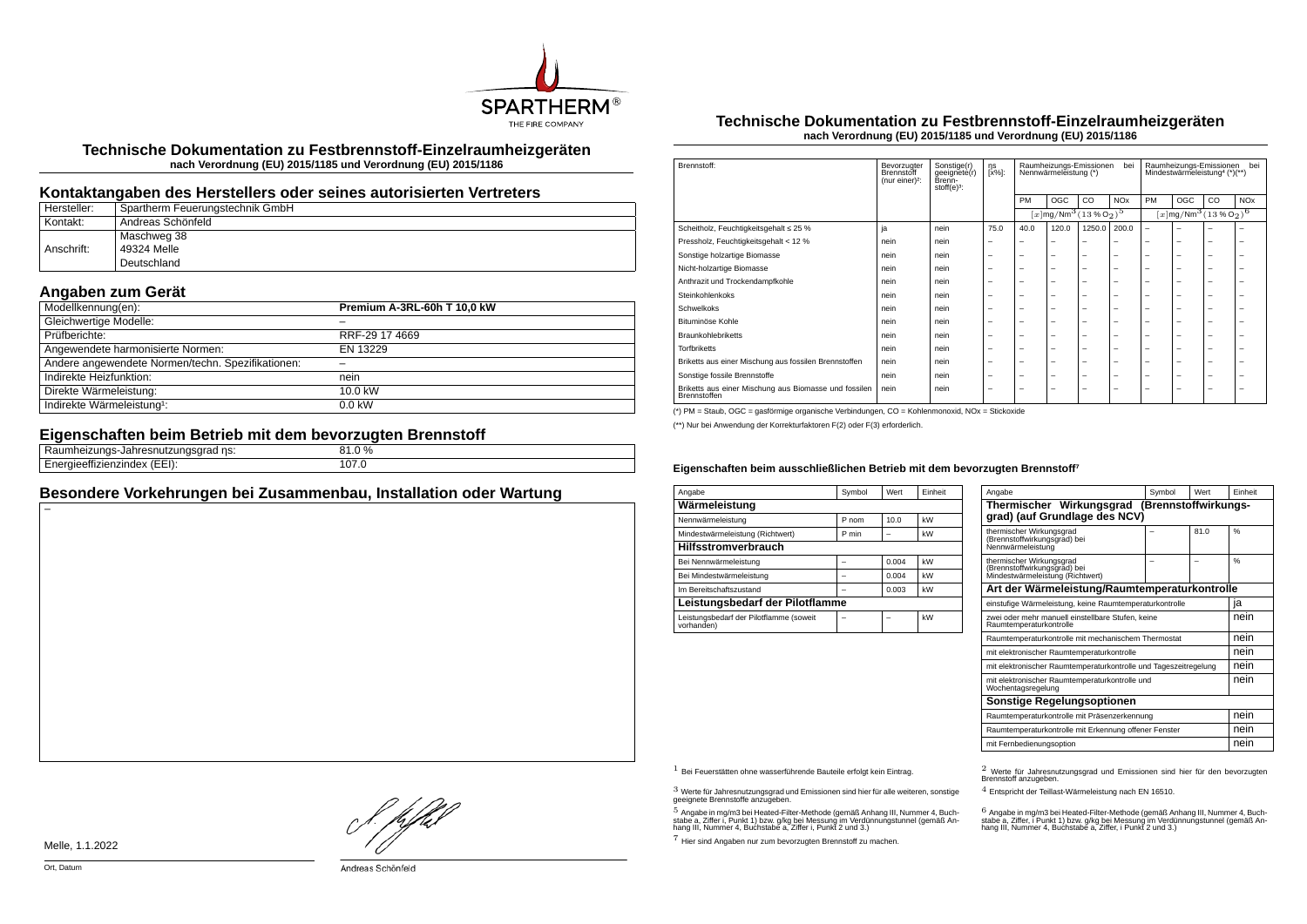

**Technische Dokumentation zu Festbrennstoff-Einzelraumheizgeräten nach Verordnung (EU) 2015/1185 und Verordnung (EU) 2015/1186**

#### **Kontaktangaben des Herstellers oder seines autorisierten Vertreters**

| Hersteller: | Spartherm Feuerungstechnik GmbH |
|-------------|---------------------------------|
| Kontakt:    | ' Andreas Schönfeld             |
|             | Maschweg 38                     |
| Anschrift:  | 49324 Melle                     |
|             | Deutschland                     |

# **Angaben zum Gerät**

| Modellkennung(en):                                | Premium A-3RL-60h T 10,0 kW |
|---------------------------------------------------|-----------------------------|
| Gleichwertige Modelle:                            |                             |
| Prüfberichte:                                     | RRF-29 17 4669              |
| Angewendete harmonisierte Normen:                 | EN 13229                    |
| Andere angewendete Normen/techn. Spezifikationen: |                             |
| Indirekte Heizfunktion:                           | nein                        |
| Direkte Wärmeleistung:                            | 10.0 kW                     |
| Indirekte Wärmeleistung <sup>1</sup> :            | $0.0$ kW                    |

# **Eigenschaften beim Betrieb mit dem bevorzugten Brennstoff**

| ns:<br>----<br>не<br>. du<br>- - - -       | $\%$        |  |
|--------------------------------------------|-------------|--|
| ---<br>$\sqrt{2}$<br>---<br>.<br>.<br>---- | 07<br>107.U |  |
|                                            |             |  |

# **Besondere Vorkehrungen bei Zusammenbau, Installation oder Wartung**

#### **Technische Dokumentation zu Festbrennstoff-Einzelraumheizgeräten nach Verordnung (EU) 2015/1185 und Verordnung (EU) 2015/1186**

| Brennstoff:                                                           | Bevorzugter<br>Brennstoff<br>(nur einer) <sup>2</sup> : | Sonstige(r)<br>geeignete(r)<br>Brenn-<br>$stoff(e)3$ : | ηs<br>[x%]: | bei<br>Raumheizungs-Emissionen<br>Nennwärmeleistung (*) |                                                        |                          |                       | hei<br>Raumheizungs-Emissionen<br>Mindestwärmeleistung <sup>4</sup> (*)(**) |     |    |                       |
|-----------------------------------------------------------------------|---------------------------------------------------------|--------------------------------------------------------|-------------|---------------------------------------------------------|--------------------------------------------------------|--------------------------|-----------------------|-----------------------------------------------------------------------------|-----|----|-----------------------|
|                                                                       |                                                         |                                                        |             | PM                                                      | <b>OGC</b>                                             | CO.                      | <b>NO<sub>x</sub></b> | PM                                                                          | OGC | CO | <b>NO<sub>x</sub></b> |
|                                                                       |                                                         |                                                        |             |                                                         | $\sqrt{x \log N}$ Mm <sup>3</sup> $\sqrt{(13\%0_2)^5}$ |                          |                       | $[x]$ mg/Nm <sup>3</sup> (13 % O <sub>2</sub> ) <sup>6</sup>                |     |    |                       |
| Scheitholz, Feuchtigkeitsgehalt ≤ 25 %                                | ja                                                      | nein                                                   | 75.0        | 40.0                                                    | 120.0                                                  | 1250.0                   | 200.0                 | $\overline{\phantom{0}}$                                                    | ۰   |    |                       |
| Pressholz, Feuchtigkeitsgehalt < 12 %                                 | nein                                                    | nein                                                   | -           | -                                                       | -                                                      | -                        |                       | -                                                                           | -   | -  | -                     |
| Sonstige holzartige Biomasse                                          | nein                                                    | nein                                                   | -           | -                                                       | $\overline{\phantom{a}}$                               | $\overline{\phantom{0}}$ | -                     | -                                                                           | -   | -  | -                     |
| Nicht-holzartige Biomasse                                             | nein                                                    | nein                                                   | -           | -                                                       | $\overline{\phantom{a}}$                               | $\overline{\phantom{0}}$ | -                     | -                                                                           | -   | -  | -                     |
| Anthrazit und Trockendampfkohle                                       | nein                                                    | nein                                                   | -           | -                                                       | $\overline{\phantom{a}}$                               | $\overline{\phantom{0}}$ | -                     | -                                                                           | -   | -  | -                     |
| Steinkohlenkoks                                                       | nein                                                    | nein                                                   | -           | -                                                       | $\overline{\phantom{a}}$                               | $\overline{\phantom{0}}$ | -                     | -                                                                           | -   | -  | -                     |
| Schwelkoks                                                            | nein                                                    | nein                                                   | -           | -                                                       | $\overline{\phantom{a}}$                               | $\overline{\phantom{0}}$ | -                     | -                                                                           | -   | -  | -                     |
| Bituminöse Kohle                                                      | nein                                                    | nein                                                   | -           | -                                                       | $\overline{\phantom{a}}$                               | $\overline{\phantom{0}}$ | -                     | -                                                                           | -   | -  | -                     |
| <b>Braunkohlebriketts</b>                                             | nein                                                    | nein                                                   | -           | -                                                       | $\overline{\phantom{a}}$                               | $\overline{\phantom{0}}$ | -                     | -                                                                           | -   | -  | -                     |
| <b>Torfbriketts</b>                                                   | nein                                                    | nein                                                   | -           | -                                                       | $\overline{\phantom{a}}$                               | $\overline{\phantom{0}}$ | -                     | -                                                                           | -   | -  | -                     |
| Briketts aus einer Mischung aus fossilen Brennstoffen                 | nein                                                    | nein                                                   | -           | -                                                       | $\overline{\phantom{a}}$                               | $\overline{\phantom{0}}$ | -                     | -                                                                           | -   | -  | -                     |
| Sonstige fossile Brennstoffe                                          | nein                                                    | nein                                                   | -           | -                                                       | $\overline{\phantom{a}}$                               | $\overline{\phantom{0}}$ | -                     | -                                                                           | -   | -  | -                     |
| Briketts aus einer Mischung aus Biomasse und fossilen<br>Brennstoffen | nein                                                    | nein                                                   | -           | -                                                       | $\overline{\phantom{a}}$                               | $\overline{\phantom{0}}$ | -                     | -                                                                           | -   | -  | -                     |

(\*) PM = Staub, OGC = gasförmige organische Verbindungen, CO = Kohlenmonoxid, NOx = Stickoxide

(\*\*) Nur bei Anwendung der Korrekturfaktoren F(2) oder F(3) erforderlich.

#### **Eigenschaften beim ausschließlichen Betrieb mit dem bevorzugten Brennstoff⁷**

| Angabe                                                | Symbol | Wert  | Einheit |  |  |  |
|-------------------------------------------------------|--------|-------|---------|--|--|--|
| Wärmeleistung                                         |        |       |         |  |  |  |
| Nennwärmeleistung                                     | P nom  | 10.0  | kW      |  |  |  |
| Mindestwärmeleistung (Richtwert)                      | P min  |       | kW      |  |  |  |
| <b>Hilfsstromverbrauch</b>                            |        |       |         |  |  |  |
| Bei Nennwärmeleistung                                 |        | 0.004 | kW      |  |  |  |
| Bei Mindestwärmeleistung                              |        | 0.004 | kW      |  |  |  |
| Im Bereitschaftszustand                               |        | 0.003 | kW      |  |  |  |
| Leistungsbedarf der Pilotflamme                       |        |       |         |  |  |  |
| Leistungsbedarf der Pilotflamme (soweit<br>vorhanden) |        |       | kW      |  |  |  |

| Angabe                                                                                       | Symbol | <b>Wert</b> | Finheit |
|----------------------------------------------------------------------------------------------|--------|-------------|---------|
| Thermischer Wirkungsgrad (Brennstoffwirkungs-<br>grad) (auf Grundlage des NCV)               |        |             |         |
| thermischer Wirkungsgrad<br>(Brennstoffwirkungsgrad) bei<br>Nennwärmeleistung                |        | 81.0        | %       |
| thermischer Wirkungsgrad<br>(Brennstoffwirkungsgräd) bei<br>Mindestwärmeleistung (Richtwert) |        |             | 0/6     |
| Art der Wärmeleistung/Raumtemperaturkontrolle                                                |        |             |         |
| einstufige Wärmeleistung, keine Raumtemperaturkontrolle                                      |        |             | ja      |
| zwei oder mehr manuell einstellbare Stufen, keine<br>Raumtemperaturkontrolle                 | nein   |             |         |
| Raumtemperaturkontrolle mit mechanischem Thermostat                                          |        |             | nein    |
| mit elektronischer Raumtemperaturkontrolle                                                   |        |             | nein    |
| mit elektronischer Raumtemperaturkontrolle und Tageszeitregelung                             |        |             | nein    |
| mit elektronischer Raumtemperaturkontrolle und<br>Wochentagsregelung                         | nein   |             |         |
| Sonstige Regelungsoptionen                                                                   |        |             |         |
| Raumtemperaturkontrolle mit Präsenzerkennung                                                 | nein   |             |         |
| Raumtemperaturkontrolle mit Erkennung offener Fenster                                        |        |             |         |
| mit Fernbedienungsoption                                                                     |        |             | nein    |

.<br>stabe a, Ziffer, i Punkt 1) bzw. g/kg bei Messung im Verdünnungstunnel (gemäß An-<br>hang III, Nummer 4, Buchstabe a, Ziffer, i Punkt 2 und 3.)<br>hang III, Nummer 4, Buchstabe a, Ziffer, i Punkt 2 und 3.)

4 Entspricht der Teillast-Wärmeleistung nach EN 16510.

1 Bei Feuerstätten ohne wasserführende Bauteile erfolgt kein Eintrag. 2 Werte für Jahresnutzungsgrad und Emissionen sind hier für den bevorzugten Brennstoff anzugeben.

 $3$  Werte für Jahresnutzungsgrad und Emissionen sind hier für alle weiteren, sonstige geeignete Brennstoffe anzugeben.

 $5$  Angabe in mg/m3 bei Heated-Filter-Methode (gemäß Anhang III, Nummer 4, Buchstabe a, Ziffer i, Punkt 1) bzw. g/kg bei Messung im Verdünnungstunnel (gemäß An-hang III, Nummer 4, Buchstabe a, Ziffer i, Punkt 2 und 3.)

7 Hier sind Angaben nur zum bevorzugten Brennstoff zu machen.

}. pfh;f

Melle, 1.1.2022

–

Andreas Schönfeld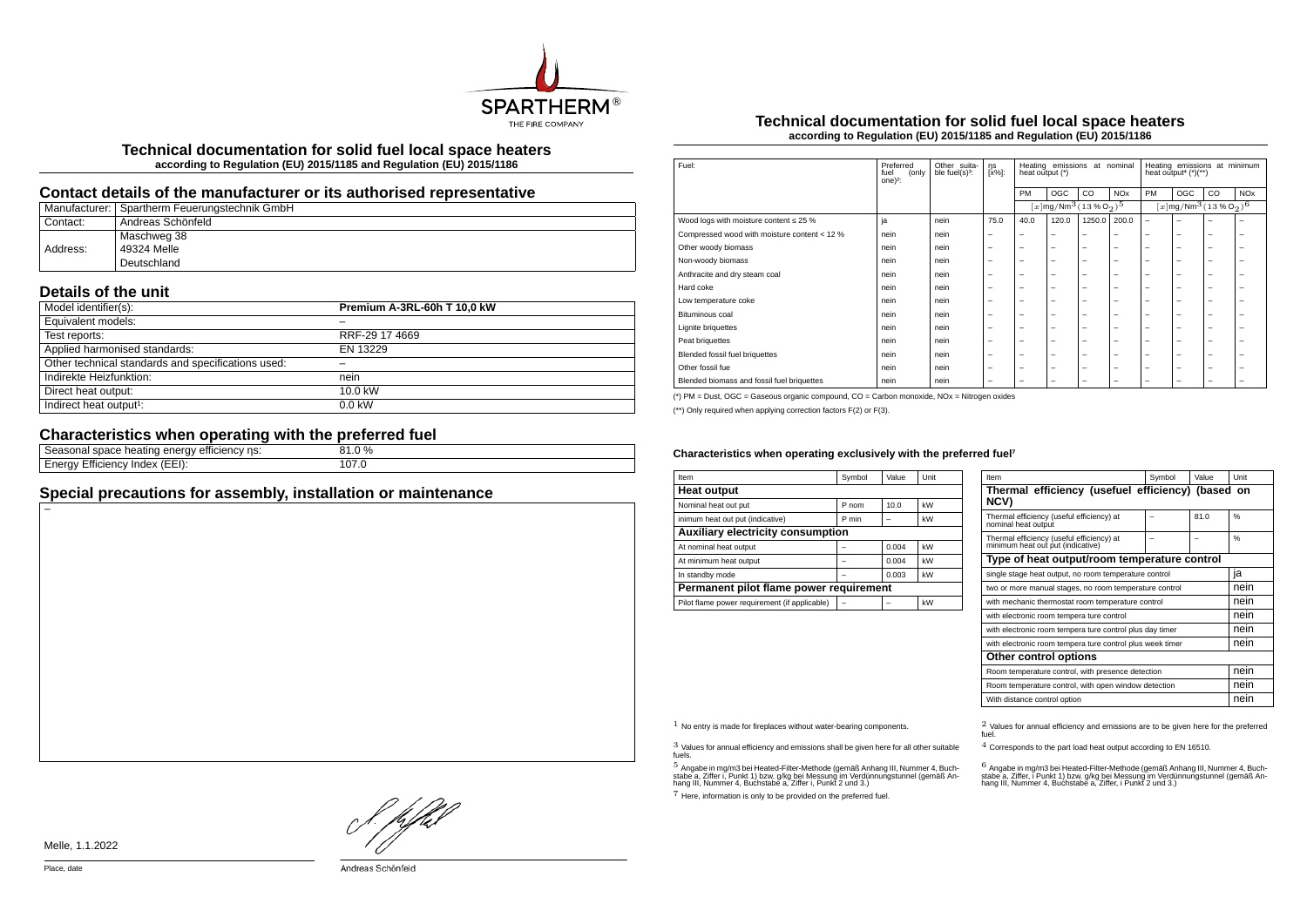

**Technical documentation for solid fuel local space heaters according to Regulation (EU) 2015/1185 and Regulation (EU) 2015/1186**

## **Contact details of the manufacturer or its authorised representative**

|          | Manufacturer: Spartherm Feuerungstechnik GmbH |
|----------|-----------------------------------------------|
| Contact: | Andreas Schönfeld                             |
|          | Maschweg 38                                   |
| Address: | 49324 Melle                                   |
|          | Deutschland                                   |

## **Details of the unit**

| Model identifier(s):                               | Premium A-3RL-60h T 10,0 kW |
|----------------------------------------------------|-----------------------------|
| Equivalent models:                                 |                             |
| Test reports:                                      | RRF-29 17 4669              |
| Applied harmonised standards:                      | EN 13229                    |
| Other technical standards and specifications used: |                             |
| Indirekte Heizfunktion:                            | nein                        |
| Direct heat output:                                | 10.0 kW                     |
| Indirect heat output <sup>1</sup> :                | $0.0$ kW                    |

# **Characteristics when operating with the preferred fuel**

| ns:<br>space heating $\sim$<br>∶eπiciencv<br>117<br>asunai<br>٠, | $\frac{0}{0}$ |
|------------------------------------------------------------------|---------------|
| (EEI):<br>cienc<br>index<br>w<br>-1116<br>. ສ                    |               |

## **Special precautions for assembly, installation or maintenance**

#### **Technical documentation for solid fuel local space heaters according to Regulation (EU) 2015/1185 and Regulation (EU) 2015/1186**

| Fuel:                                        | Preferred<br>(only<br>fuel<br>one $)^2$ : | Other suita-<br>ble fuel $(s)$ <sup>3</sup> : | ηs<br>$[x\%]$ :          | Heating emissions<br>at nominal<br>heat output (*) |                                                                |                          |                          | Heating emissions at minimum<br>heat output <sup>4</sup> (*)(**) |                          |                          |                       |
|----------------------------------------------|-------------------------------------------|-----------------------------------------------|--------------------------|----------------------------------------------------|----------------------------------------------------------------|--------------------------|--------------------------|------------------------------------------------------------------|--------------------------|--------------------------|-----------------------|
|                                              |                                           |                                               |                          | PM                                                 | OGC                                                            | CO                       | <b>NO<sub>x</sub></b>    | PM                                                               | OGC                      | $_{\rm CO}$              | <b>NO<sub>x</sub></b> |
|                                              |                                           |                                               |                          |                                                    | $[x]$ mg/Nm <sup>3</sup> $(13\%$ O <sub>2</sub> ) <sup>5</sup> |                          |                          | $[x]$ mg/Nm <sup>3</sup> (13 % O <sub>2</sub> ) <sup>6</sup>     |                          |                          |                       |
| Wood logs with moisture content $\leq 25$ %  | ja                                        | nein                                          | 75.0                     | 40.0                                               | 120.0                                                          | 1250.0                   | 200.0                    | $\overline{\phantom{m}}$                                         | -                        |                          | -                     |
| Compressed wood with moisture content < 12 % | nein                                      | nein                                          | -                        | -                                                  | -                                                              | $\overline{\phantom{0}}$ | -                        | $\overline{\phantom{0}}$                                         | $\overline{\phantom{0}}$ | -                        | ۰                     |
| Other woody biomass                          | nein                                      | nein                                          | -                        | -                                                  | -                                                              | $\overline{\phantom{0}}$ | $\overline{\phantom{0}}$ | $\overline{\phantom{0}}$                                         | -                        | -                        | -                     |
| Non-woody biomass                            | nein                                      | nein                                          | -                        | -                                                  | -                                                              | $\overline{\phantom{0}}$ | $\overline{\phantom{0}}$ | $\overline{\phantom{0}}$                                         | -                        | -                        | -                     |
| Anthracite and dry steam coal                | nein                                      | nein                                          |                          | $\overline{\phantom{0}}$                           | $\overline{\phantom{0}}$                                       | $\overline{\phantom{m}}$ | $\overline{\phantom{0}}$ | $\overline{\phantom{0}}$                                         | -                        | -                        | -                     |
| Hard coke                                    | nein                                      | nein                                          | -                        | -                                                  | -                                                              | $\overline{\phantom{0}}$ | $\overline{\phantom{0}}$ | $\overline{\phantom{0}}$                                         | -                        | -                        | -                     |
| Low temperature coke                         | nein                                      | nein                                          | -                        | -                                                  | -                                                              | -                        | $\overline{\phantom{0}}$ | $\overline{\phantom{0}}$                                         | -                        | -                        | -                     |
| Bituminous coal                              | nein                                      | nein                                          | -                        | -                                                  | -                                                              | -                        | $\overline{\phantom{a}}$ | -                                                                | -                        | -                        | ۰                     |
| Lignite briquettes                           | nein                                      | nein                                          | -                        | -                                                  | -                                                              | $\overline{\phantom{0}}$ | $\overline{\phantom{0}}$ | $\overline{\phantom{0}}$                                         | -                        | -                        | -                     |
| Peat briquettes                              | nein                                      | nein                                          | -                        | -                                                  | -                                                              | $\overline{\phantom{0}}$ | $\overline{\phantom{0}}$ | $\overline{\phantom{0}}$                                         | -                        | -                        | -                     |
| Blended fossil fuel briquettes               | nein                                      | nein                                          | $\overline{\phantom{0}}$ | $\overline{\phantom{0}}$                           | $\overline{\phantom{0}}$                                       | $\overline{\phantom{m}}$ | $\overline{\phantom{m}}$ | $\overline{\phantom{0}}$                                         | $\overline{\phantom{0}}$ | $\overline{\phantom{0}}$ | -                     |
| Other fossil fue                             | nein                                      | nein                                          | -                        | -                                                  | -                                                              | -                        | $\overline{\phantom{0}}$ | $\overline{\phantom{0}}$                                         | -                        | -                        | -                     |
| Blended biomass and fossil fuel briquettes   | nein                                      | nein                                          | -                        | -                                                  | -                                                              | -                        | -                        | -                                                                | -                        | -                        | -                     |

(\*) PM = Dust, OGC = Gaseous organic compound, CO = Carbon monoxide, NOx = Nitrogen oxides

(\*\*) Only required when applying correction factors F(2) or F(3).

#### Characteristics when operating exclusively with the preferred fuel<sup>7</sup>

| Item                                          | Symbol | Value | Unit |  |  |  |
|-----------------------------------------------|--------|-------|------|--|--|--|
| <b>Heat output</b>                            |        |       |      |  |  |  |
| Nominal heat out put                          | P nom  | 10.0  | kW   |  |  |  |
| inimum heat out put (indicative)              | P min  |       | kW   |  |  |  |
| <b>Auxiliary electricity consumption</b>      |        |       |      |  |  |  |
| At nominal heat output                        |        | 0.004 | kW   |  |  |  |
| At minimum heat output                        |        | 0.004 | kW   |  |  |  |
| In standby mode                               |        | 0.003 | kW   |  |  |  |
| Permanent pilot flame power requirement       |        |       |      |  |  |  |
| Pilot flame power requirement (if applicable) |        |       | kW   |  |  |  |

| Item                                                                           | Symbol                                                    | Value | Unit |  |  |  |
|--------------------------------------------------------------------------------|-----------------------------------------------------------|-------|------|--|--|--|
| Thermal efficiency (usefuel efficiency) (based on<br><b>NCV)</b>               |                                                           |       |      |  |  |  |
| Thermal efficiency (useful efficiency) at<br>nominal heat outout               |                                                           | 81.0  | 0/6  |  |  |  |
| Thermal efficiency (useful efficiency) at<br>minimum heat out put (indicative) |                                                           |       | 0/6  |  |  |  |
| Type of heat output/room temperature control                                   |                                                           |       |      |  |  |  |
| single stage heat output, no room temperature control                          |                                                           |       | ia   |  |  |  |
| two or more manual stages, no room temperature control                         |                                                           |       | nein |  |  |  |
| with mechanic thermostat room temperature control                              |                                                           |       | nein |  |  |  |
| with electronic room tempera ture control                                      |                                                           |       | nein |  |  |  |
| with electronic room tempera ture control plus day timer                       | nein                                                      |       |      |  |  |  |
|                                                                                | with electronic room tempera ture control plus week timer |       |      |  |  |  |
| Other control options                                                          |                                                           |       |      |  |  |  |
| Room temperature control, with presence detection                              | nein                                                      |       |      |  |  |  |
| Room temperature control, with open window detection                           | nein                                                      |       |      |  |  |  |
| With distance control option                                                   |                                                           |       | nein |  |  |  |

3 Values for annual efficiency and emissions shall be given here for all other suitable fuels.

.<br>5 Angabe a, Ziffer i, Punkt 1) bzw. g/kg bei Messung im Verdünnungstunnel (gemäß An-<br>hang III, Nummer 4, Buchstabe a, Ziffer i, Punkt 2 und 3.)<br>hang III, Nummer 4, Buchstabe a, Ziffer i, Punkt 2 und 3.)

7 Here, information is only to be provided on the preferred fuel.

 $1$  No entry is made for fireplaces without water-bearing components.  $2$  Values for annual efficiency and emissions are to be given here for the preferred fuel.

4 Corresponds to the part load heat output according to EN 16510.

.<br>stabe a, Ziffer, i Punkt 1) bzw. g/kg bei Messung im Verdünnungstunner 4, Buch-<br>hang III, Nummer 4, Buchstabe a, Ziffer, i Punkt 2 und 3.)<br>hang III, Nummer 4, Buchstabe a, Ziffer, i Punkt 2 und 3.)

! pfhil

Melle, 1.1.2022

–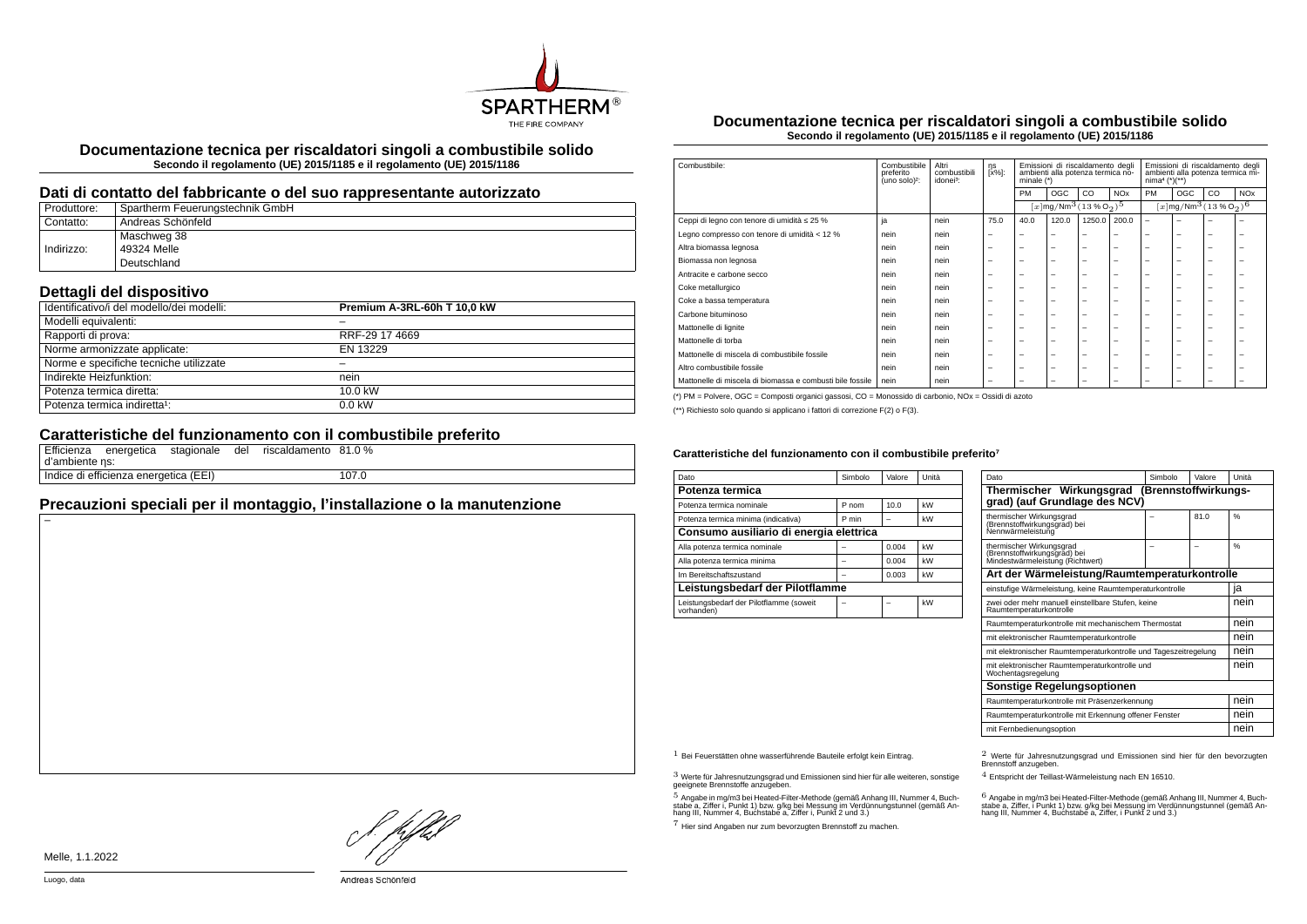

**Documentazione tecnica per riscaldatori singoli a combustibile solido Secondo il regolamento (UE) 2015/1185 e il regolamento (UE) 2015/1186**

#### **Dati di contatto del fabbricante o del suo rappresentante autorizzato**

| Produttore: | Spartherm Feuerungstechnik GmbH |
|-------------|---------------------------------|
| Contatto:   | Andreas Schönfeld               |
|             | Maschweg 38                     |
| Indirizzo:  | 49324 Melle                     |
|             | Deutschland                     |

## **Dettagli del dispositivo**

| Identificativo/i del modello/dei modelli: | Premium A-3RL-60h T 10.0 kW |
|-------------------------------------------|-----------------------------|
| Modelli equivalenti:                      |                             |
| Rapporti di prova:                        | RRF-29 17 4669              |
| Norme armonizzate applicate:              | EN 13229                    |
| Norme e specifiche tecniche utilizzate    |                             |
| Indirekte Heizfunktion:                   | nein                        |
| Potenza termica diretta:                  | 10.0 kW                     |
| Potenza termica indiretta <sup>1</sup> :  | $0.0$ kW                    |

## **Caratteristiche del funzionamento con il combustibile preferito**

| d'ambiente ns: | Efficienza energetica                 | stagionale | del | riscaldamento 81.0 % |       |
|----------------|---------------------------------------|------------|-----|----------------------|-------|
|                | Indice di efficienza energetica (EEI) |            |     |                      | 107.0 |

# **Precauzioni speciali per il montaggio, l'installazione o la manutenzione**

**Documentazione tecnica per riscaldatori singoli a combustibile solido Secondo il regolamento (UE) 2015/1185 e il regolamento (UE) 2015/1186**

| Combustibile:                                             | Combustibile<br>preferito<br>(uno solo) <sup>2</sup> : | Altri<br>combustibili<br>idonei <sup>3</sup> : | ηs<br>[x%]:              | Emissioni di riscaldamento degli<br>ambienti alla potenza termica no-<br>minale $(*)$ |                                                                | Emissioni di riscaldamento degli<br>ambienti alla potenza termica mi-<br>$nima4 (*)(**)$ |                          |                          |                          |                                                            |                       |
|-----------------------------------------------------------|--------------------------------------------------------|------------------------------------------------|--------------------------|---------------------------------------------------------------------------------------|----------------------------------------------------------------|------------------------------------------------------------------------------------------|--------------------------|--------------------------|--------------------------|------------------------------------------------------------|-----------------------|
|                                                           |                                                        |                                                |                          | <b>PM</b>                                                                             | <b>OGC</b>                                                     | CO                                                                                       | <b>NO<sub>x</sub></b>    | PM                       | OGC                      | CO                                                         | <b>NO<sub>x</sub></b> |
|                                                           |                                                        |                                                |                          |                                                                                       | $[x]$ mg/Nm <sup>3</sup> $(13\%$ O <sub>2</sub> ) <sup>5</sup> |                                                                                          |                          |                          |                          | $[x \, \text{mg}/\text{Nm}^3 \, (13 \, \%\, \text{O}_2)^6$ |                       |
| Ceppi di legno con tenore di umidità ≤ 25 %               | ja                                                     | nein                                           | 75.0                     | 40.0                                                                                  | 120.0                                                          | 1250.0                                                                                   | 200.0                    | $\overline{\phantom{0}}$ | $\overline{\phantom{0}}$ | -                                                          |                       |
| Legno compresso con tenore di umidità < 12 %              | nein                                                   | nein                                           | $\overline{\phantom{m}}$ | $\overline{\phantom{a}}$                                                              | $\overline{\phantom{a}}$                                       | -                                                                                        | -                        | -                        | $\overline{\phantom{0}}$ | $\overline{\phantom{0}}$                                   | -                     |
| Altra biomassa legnosa                                    | nein                                                   | nein                                           | $\overline{\phantom{0}}$ | $\overline{\phantom{0}}$                                                              | $\overline{\phantom{0}}$                                       | -                                                                                        | -                        | $\overline{\phantom{0}}$ | $\overline{\phantom{0}}$ | -                                                          | -                     |
| Biomassa non legnosa                                      | nein                                                   | nein                                           | $\overline{\phantom{0}}$ | $\overline{\phantom{0}}$                                                              | $\overline{\phantom{0}}$                                       | -                                                                                        | -                        | $\overline{\phantom{a}}$ | $\overline{\phantom{0}}$ | -                                                          | -                     |
| Antracite e carbone secco                                 | nein                                                   | nein                                           | $\overline{\phantom{0}}$ | $\overline{\phantom{0}}$                                                              | $\overline{\phantom{a}}$                                       | -                                                                                        | -                        | $\overline{\phantom{a}}$ | -                        | -                                                          | -                     |
| Coke metallurgico                                         | nein                                                   | nein                                           | $\overline{\phantom{0}}$ | $\overline{\phantom{0}}$                                                              | $\overline{\phantom{0}}$                                       | -                                                                                        | -                        | $\overline{\phantom{a}}$ | $\overline{\phantom{0}}$ | -                                                          | -                     |
| Coke a bassa temperatura                                  | nein                                                   | nein                                           | $\overline{\phantom{0}}$ | $\overline{\phantom{0}}$                                                              | $\overline{\phantom{a}}$                                       | -                                                                                        | -                        | -                        | -                        | -                                                          |                       |
| Carbone bituminoso                                        | nein                                                   | nein                                           | -                        | -                                                                                     | $\overline{\phantom{a}}$                                       | -                                                                                        | -                        | -                        | $\overline{\phantom{0}}$ | ۰                                                          |                       |
| Mattonelle di lignite                                     | nein                                                   | nein                                           | $\overline{\phantom{0}}$ | $\overline{\phantom{a}}$                                                              | $\overline{\phantom{a}}$                                       | -                                                                                        | -                        | -                        | -                        | -                                                          |                       |
| Mattonelle di torba                                       | nein                                                   | nein                                           | $\overline{\phantom{0}}$ | $\overline{\phantom{0}}$                                                              | $\overline{\phantom{a}}$                                       | -                                                                                        | -                        | -                        | $\overline{\phantom{0}}$ | -                                                          |                       |
| Mattonelle di miscela di combustibile fossile             | nein                                                   | nein                                           | $\overline{\phantom{0}}$ | $\overline{\phantom{0}}$                                                              | $\overline{\phantom{0}}$                                       | -                                                                                        | -                        | $\overline{\phantom{a}}$ | $\overline{\phantom{0}}$ | -                                                          | -                     |
| Altro combustibile fossile                                | nein                                                   | nein                                           | $\overline{\phantom{0}}$ | $\overline{\phantom{0}}$                                                              | $\overline{\phantom{0}}$                                       | -                                                                                        | $\overline{\phantom{0}}$ | $\overline{\phantom{0}}$ | $\overline{\phantom{0}}$ | $\overline{\phantom{0}}$                                   | -                     |
| Mattonelle di miscela di biomassa e combusti bile fossile | nein                                                   | nein                                           | $\overline{\phantom{0}}$ | $\overline{\phantom{0}}$                                                              | $\overline{\phantom{0}}$                                       | -                                                                                        | -                        | -                        | -                        | -                                                          |                       |

(\*) PM = Polvere, OGC = Composti organici gassosi, CO = Monossido di carbonio, NOx = Ossidi di azoto

(\*\*) Richiesto solo quando si applicano i fattori di correzione F(2) o F(3).

#### Caratteristiche del funzionamento con il combustibile preferito<sup>7</sup>

| Dato                                                  | Simbolo | Valore | Unità |  |  |  |
|-------------------------------------------------------|---------|--------|-------|--|--|--|
| Potenza termica                                       |         |        |       |  |  |  |
| Potenza termica nominale                              | P nom   | 10.0   | kW    |  |  |  |
| Potenza termica minima (indicativa)                   | P min   |        | kW    |  |  |  |
| Consumo ausiliario di energia elettrica               |         |        |       |  |  |  |
| Alla potenza termica nominale                         |         | 0.004  | kW    |  |  |  |
| Alla potenza termica minima                           |         | 0.004  | kW    |  |  |  |
| Im Bereitschaftszustand                               |         | 0.003  | kW    |  |  |  |
| Leistungsbedarf der Pilotflamme                       |         |        |       |  |  |  |
| Leistungsbedarf der Pilotflamme (soweit<br>vorhanden) |         |        | kW    |  |  |  |

| Dato                                                                                         | Simbolo              | Valore | Unità |  |
|----------------------------------------------------------------------------------------------|----------------------|--------|-------|--|
| Thermischer Wirkungsgrad<br>grad) (auf Grundlage des NCV)                                    | (Brennstoffwirkungs- |        |       |  |
| thermischer Wirkungsgrad<br>(Brennstoffwirkungsgrad) bei<br>Nennwärmeleistung                |                      | 81.0   | %     |  |
| thermischer Wirkungsgrad<br>(Brennstoffwirkungsgrad) bei<br>Mindestwärmeleistung (Richtwert) |                      |        | 0/6   |  |
| Art der Wärmeleistung/Raumtemperaturkontrolle                                                |                      |        |       |  |
| einstufige Wärmeleistung, keine Raumtemperaturkontrolle                                      |                      |        | ia    |  |
| zwei oder mehr manuell einstellbare Stufen, keine<br>Raumtemperaturkontrolle                 |                      |        | nein  |  |
| Raumtemperaturkontrolle mit mechanischem Thermostat                                          |                      |        | nein  |  |
| mit elektronischer Raumtemperaturkontrolle                                                   |                      |        |       |  |
| mit elektronischer Raumtemperaturkontrolle und Tageszeitregelung                             |                      |        | nein  |  |
| mit elektronischer Raumtemperaturkontrolle und<br>Wochentagsregelung                         |                      |        | nein  |  |
| Sonstige Regelungsoptionen                                                                   |                      |        |       |  |
| Raumtemperaturkontrolle mit Präsenzerkennung                                                 |                      |        |       |  |
| Raumtemperaturkontrolle mit Erkennung offener Fenster                                        |                      |        |       |  |
| mit Fernbedienungsoption                                                                     | nein                 |        |       |  |

3 Werte für Jahresnutzungsgrad und Emissionen sind hier für alle weiteren, sonstige geeignete Brennstoffe anzugeben.

.<br>5 Angabe in mg/m3 bei Heated-Filter-Methode (gemäß Anhang III, Nummer 4, Buch-<br>stabe a, Ziffer i, Punkt 1) bzw. g/kg bei Nessung im Verdünnungstunnel (gemäß An-<br>hang III, Nummer 4, Buchstabe a, Ziffer i, Punkt 2 und 3.)

7 Hier sind Angaben nur zum bevorzugten Brennstoff zu machen.

1 Bei Feuerstätten ohne wasserführende Bauteile erfolgt kein Eintrag. 2 Werte für Jahresnutzungsgrad und Emissionen sind hier für den bevorzugten Brennstoff anzugeben.

4 Entspricht der Teillast-Wärmeleistung nach EN 16510.

.<br>stabe a, Ziffer, i Punkt 1) bzw. g/kg bei Messung im Verdünnungstunnel (gemäß An-<br>hang III, Nummer 4, Buchstabe a, Ziffer, i Punkt 2 und 3.)<br>hang III, Nummer 4, Buchstabe a, Ziffer, i Punkt 2 und 3.)

Hfhel

–